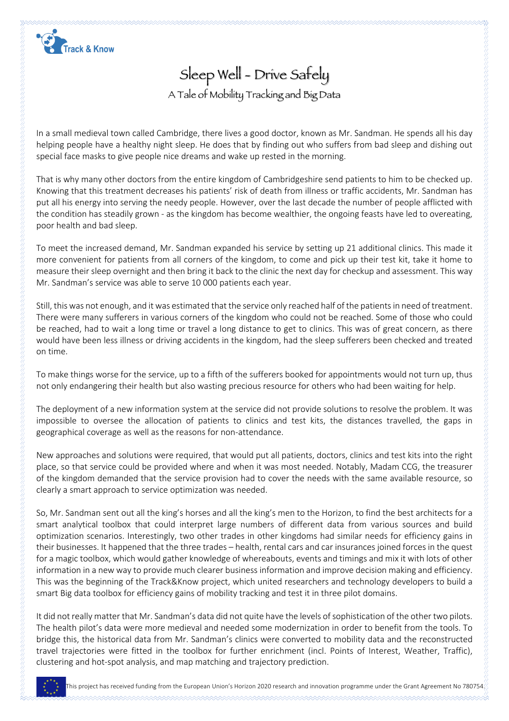

Sleep Well - Drive Safely A Tale of Mobility Tracking and Big Data

In a small medieval town called Cambridge, there lives a good doctor, known as Mr. Sandman. He spends all his day helping people have a healthy night sleep. He does that by finding out who suffers from bad sleep and dishing out special face masks to give people nice dreams and wake up rested in the morning.

That is why many other doctors from the entire kingdom of Cambridgeshire send patients to him to be checked up. Knowing that this treatment decreases his patients' risk of death from illness or traffic accidents, Mr. Sandman has put all his energy into serving the needy people. However, over the last decade the number of people afflicted with the condition has steadily grown - as the kingdom has become wealthier, the ongoing feasts have led to overeating, poor health and bad sleep.

To meet the increased demand, Mr. Sandman expanded his service by setting up 21 additional clinics. This made it more convenient for patients from all corners of the kingdom, to come and pick up their test kit, take it home to measure their sleep overnight and then bring it back to the clinic the next day for checkup and assessment. This way Mr. Sandman's service was able to serve 10 000 patients each year.

Still, this was not enough, and it was estimated that the service only reached half of the patients in need of treatment. There were many sufferers in various corners of the kingdom who could not be reached. Some of those who could be reached, had to wait a long time or travel a long distance to get to clinics. This was of great concern, as there would have been less illness or driving accidents in the kingdom, had the sleep sufferers been checked and treated on time.

To make things worse for the service, up to a fifth of the sufferers booked for appointments would not turn up, thus not only endangering their health but also wasting precious resource for others who had been waiting for help.

The deployment of a new information system at the service did not provide solutions to resolve the problem. It was impossible to oversee the allocation of patients to clinics and test kits, the distances travelled, the gaps in geographical coverage as well as the reasons for non-attendance.

New approaches and solutions were required, that would put all patients, doctors, clinics and test kits into the right place, so that service could be provided where and when it was most needed. Notably, Madam CCG, the treasurer of the kingdom demanded that the service provision had to cover the needs with the same available resource, so clearly a smart approach to service optimization was needed.

So, Mr. Sandman sent out all the king's horses and all the king's men to the Horizon, to find the best architects for a smart analytical toolbox that could interpret large numbers of different data from various sources and build optimization scenarios. Interestingly, two other trades in other kingdoms had similar needs for efficiency gains in their businesses. It happened that the three trades – health, rental cars and car insurances joined forces in the quest for a magic toolbox, which would gather knowledge of whereabouts, events and timings and mix it with lots of other information in a new way to provide much clearer business information and improve decision making and efficiency. This was the beginning of the Track&Know project, which united researchers and technology developers to build a smart Big data toolbox for efficiency gains of mobility tracking and test it in three pilot domains.

It did not really matter that Mr. Sandman's data did not quite have the levels of sophistication of the other two pilots. The health pilot's data were more medieval and needed some modernization in order to benefit from the tools. To bridge this, the historical data from Mr. Sandman's clinics were converted to mobility data and the reconstructed travel trajectories were fitted in the toolbox for further enrichment (incl. Points of Interest, Weather, Traffic), clustering and hot-spot analysis, and map matching and trajectory prediction.